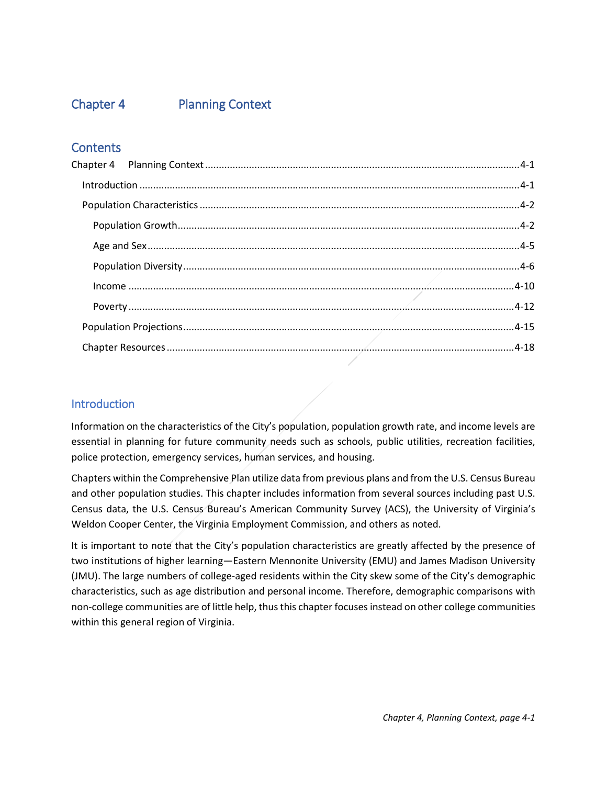# <span id="page-0-0"></span>Chapter 4 Planning Context

# **Contents**

## <span id="page-0-1"></span>**Introduction**

Information on the characteristics of the City's population, population growth rate, and income levels are essential in planning for future community needs such as schools, public utilities, recreation facilities, police protection, emergency services, human services, and housing.

Chapters within the Comprehensive Plan utilize data from previous plans and from the U.S. Census Bureau and other population studies. This chapter includes information from several sources including past U.S. Census data, the U.S. Census Bureau's American Community Survey (ACS), the University of Virginia's Weldon Cooper Center, the Virginia Employment Commission, and others as noted.

It is important to note that the City's population characteristics are greatly affected by the presence of two institutions of higher learning—Eastern Mennonite University (EMU) and James Madison University (JMU). The large numbers of college-aged residents within the City skew some of the City's demographic characteristics, such as age distribution and personal income. Therefore, demographic comparisons with non-college communities are of little help, thus this chapter focusesinstead on other college communities within this general region of Virginia.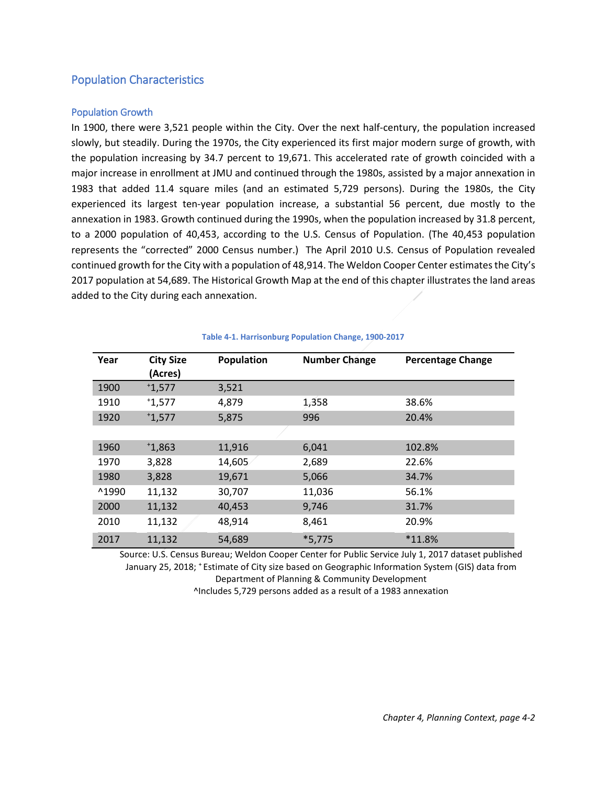# <span id="page-1-0"></span>Population Characteristics

## <span id="page-1-1"></span>Population Growth

In 1900, there were 3,521 people within the City. Over the next half-century, the population increased slowly, but steadily. During the 1970s, the City experienced its first major modern surge of growth, with the population increasing by 34.7 percent to 19,671. This accelerated rate of growth coincided with a major increase in enrollment at JMU and continued through the 1980s, assisted by a major annexation in 1983 that added 11.4 square miles (and an estimated 5,729 persons). During the 1980s, the City experienced its largest ten-year population increase, a substantial 56 percent, due mostly to the annexation in 1983. Growth continued during the 1990s, when the population increased by 31.8 percent, to a 2000 population of 40,453, according to the U.S. Census of Population. (The 40,453 population represents the "corrected" 2000 Census number.) The April 2010 U.S. Census of Population revealed continued growth for the City with a population of 48,914. The Weldon Cooper Center estimates the City's 2017 population at 54,689. The Historical Growth Map at the end of this chapter illustrates the land areas added to the City during each annexation.

| Year  | <b>City Size</b><br>(Acres) | Population | <b>Number Change</b> | <b>Percentage Change</b> |
|-------|-----------------------------|------------|----------------------|--------------------------|
| 1900  | 1,577                       | 3,521      |                      |                          |
| 1910  | 1,577                       | 4,879      | 1,358                | 38.6%                    |
| 1920  | 1,577                       | 5,875      | 996                  | 20.4%                    |
|       |                             |            |                      |                          |
| 1960  | $*1,863$                    | 11,916     | 6,041                | 102.8%                   |
| 1970  | 3,828                       | 14,605     | 2,689                | 22.6%                    |
| 1980  | 3,828                       | 19,671     | 5,066                | 34.7%                    |
| ^1990 | 11,132                      | 30,707     | 11,036               | 56.1%                    |
| 2000  | 11,132                      | 40,453     | 9,746                | 31.7%                    |
| 2010  | 11,132                      | 48,914     | 8,461                | 20.9%                    |
| 2017  | 11,132                      | 54,689     | $*5,775$             | *11.8%                   |

## **Table 4-1. Harrisonburg Population Change, 1900-2017**

Source: U.S. Census Bureau; Weldon Cooper Center for Public Service July 1, 2017 dataset published January 25, 2018; + Estimate of City size based on Geographic Information System (GIS) data from Department of Planning & Community Development ^Includes 5,729 persons added as a result of a 1983 annexation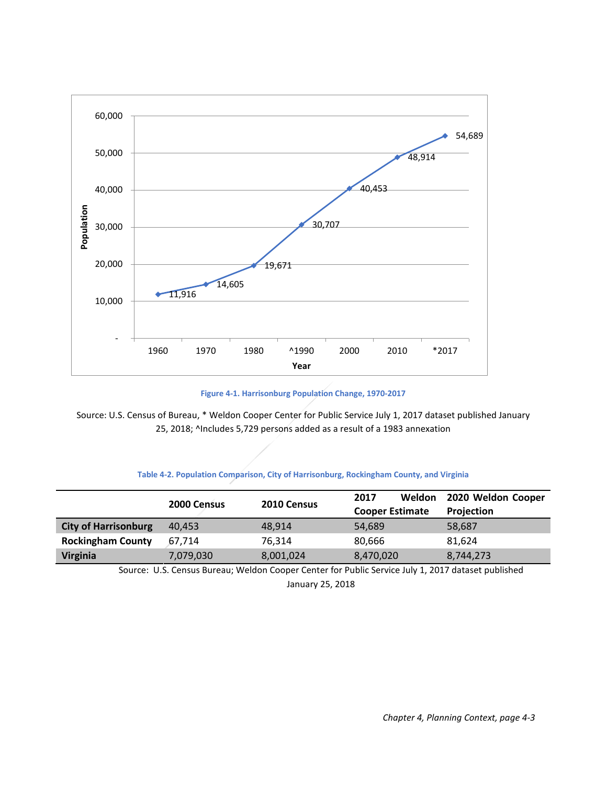

**Figure 4-1. Harrisonburg Population Change, 1970-2017**

Source: U.S. Census of Bureau, \* Weldon Cooper Center for Public Service July 1, 2017 dataset published January 25, 2018; ^Includes 5,729 persons added as a result of a 1983 annexation

## **Table 4-2. Population Comparison, City of Harrisonburg, Rockingham County, and Virginia**

|                             | 2000 Census | 2010 Census | 2017<br><b>Weldon</b><br><b>Cooper Estimate</b> | 2020 Weldon Cooper<br>Projection |
|-----------------------------|-------------|-------------|-------------------------------------------------|----------------------------------|
| <b>City of Harrisonburg</b> | 40.453      | 48.914      | 54,689                                          | 58,687                           |
| <b>Rockingham County</b>    | 67.714      | 76.314      | 80.666                                          | 81.624                           |
| <b>Virginia</b>             | 7,079,030   | 8,001,024   | 8,470,020                                       | 8,744,273                        |

Source: U.S. Census Bureau; Weldon Cooper Center for Public Service July 1, 2017 dataset published January 25, 2018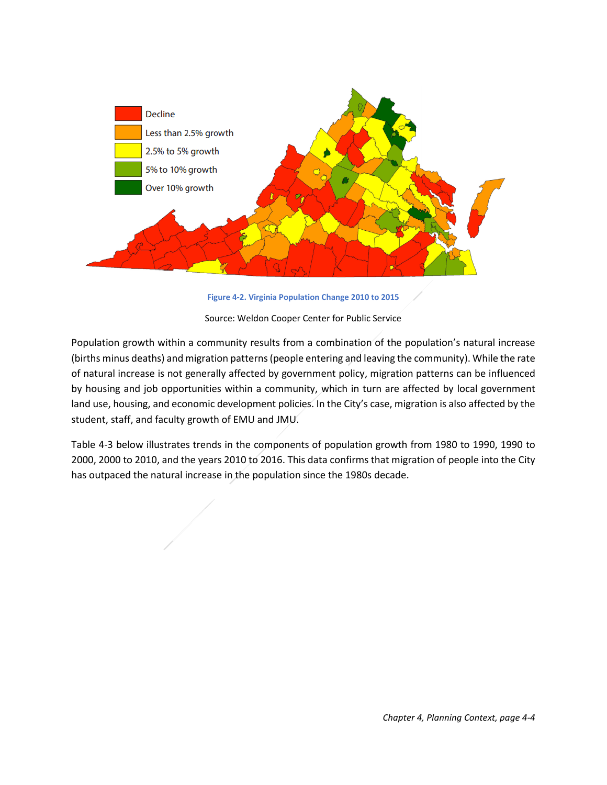

**Figure 4-2. Virginia Population Change 2010 to 2015**

Source: Weldon Cooper Center for Public Service

Population growth within a community results from a combination of the population's natural increase (births minus deaths) and migration patterns (people entering and leaving the community). While the rate of natural increase is not generally affected by government policy, migration patterns can be influenced by housing and job opportunities within a community, which in turn are affected by local government land use, housing, and economic development policies. In the City's case, migration is also affected by the student, staff, and faculty growth of EMU and JMU.

<span id="page-3-0"></span>[Table 4-3](#page-3-0) below illustrates trends in the components of population growth from 1980 to 1990, 1990 to 2000, 2000 to 2010, and the years 2010 to 2016. This data confirms that migration of people into the City has outpaced the natural increase in the population since the 1980s decade.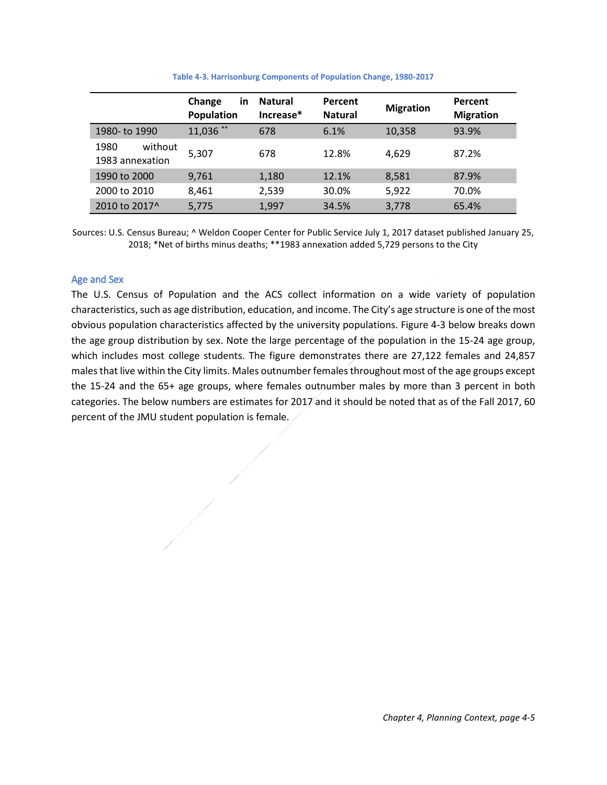|                                    | Change<br>in<br>Population | <b>Natural</b><br>Increase* | Percent<br><b>Natural</b> | <b>Migration</b> | Percent<br><b>Migration</b> |
|------------------------------------|----------------------------|-----------------------------|---------------------------|------------------|-----------------------------|
| 1980- to 1990                      | $11,036$ **                | 678                         | 6.1%                      | 10,358           | 93.9%                       |
| without<br>1980<br>1983 annexation | 5,307                      | 678                         | 12.8%                     | 4.629            | 87.2%                       |
| 1990 to 2000                       | 9,761                      | 1,180                       | 12.1%                     | 8,581            | 87.9%                       |
| 2000 to 2010                       | 8,461                      | 2,539                       | 30.0%                     | 5,922            | 70.0%                       |
| 2010 to 2017 <sup>^</sup>          | 5,775                      | 1,997                       | 34.5%                     | 3,778            | 65.4%                       |

**Table 4-3. Harrisonburg Components of Population Change, 1980-2017**

Sources: U.S. Census Bureau; ^ Weldon Cooper Center for Public Service July 1, 2017 dataset published January 25, 2018; \*Net of births minus deaths; \*\*1983 annexation added 5,729 persons to the City

## <span id="page-4-0"></span>Age and Sex

The U.S. Census of Population and the ACS collect information on a wide variety of population characteristics, such as age distribution, education, and income. The City's age structure is one of the most obvious population characteristics affected by the university populations. [Figure 4-3](#page-5-1) below breaks down the age group distribution by sex. Note the large percentage of the population in the 15-24 age group, which includes most college students. The figure demonstrates there are 27,122 females and 24,857 males that live within the City limits. Males outnumber females throughout most of the age groups except the 15-24 and the 65+ age groups, where females outnumber males by more than 3 percent in both categories. The below numbers are estimates for 2017 and it should be noted that as of the Fall 2017, 60 percent of the JMU student population is female.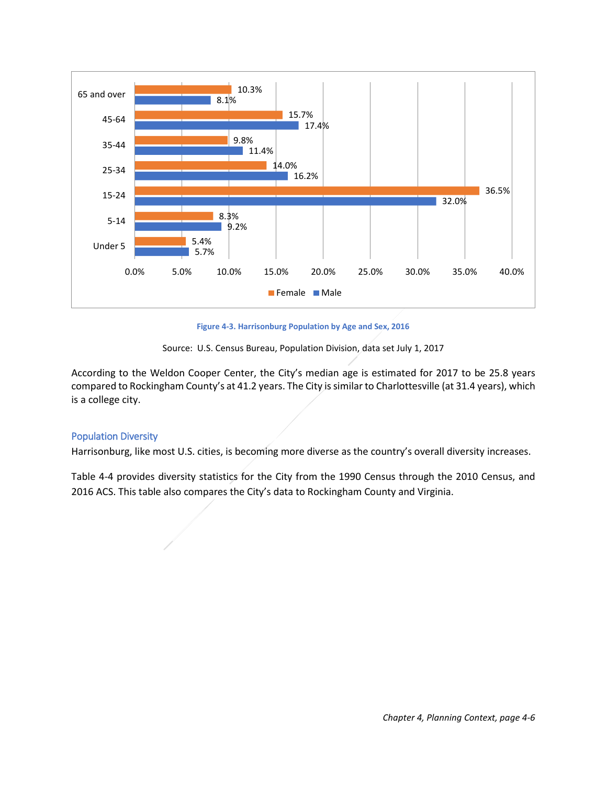

**Figure 4-3. Harrisonburg Population by Age and Sex, 2016**



<span id="page-5-1"></span>According to the Weldon Cooper Center, the City's median age is estimated for 2017 to be 25.8 years compared to Rockingham County's at 41.2 years. The City is similar to Charlottesville (at 31.4 years), which is a college city.

## <span id="page-5-0"></span>Population Diversity

Harrisonburg, like most U.S. cities, is becoming more diverse as the country's overall diversity increases.

Table 4-4 provides diversity statistics for the City from the 1990 Census through the 2010 Census, and 2016 ACS. This table also compares the City's data to Rockingham County and Virginia.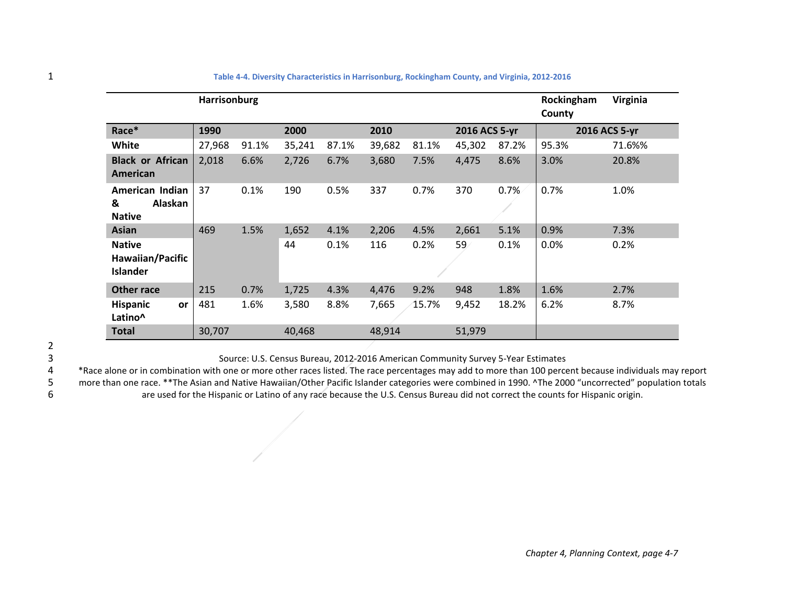|                                                      | <b>Harrisonburg</b> |       |        |       |        |       |               |       | Rockingham<br>County | Virginia      |
|------------------------------------------------------|---------------------|-------|--------|-------|--------|-------|---------------|-------|----------------------|---------------|
| Race*                                                | 1990                |       | 2000   |       | 2010   |       | 2016 ACS 5-yr |       |                      | 2016 ACS 5-yr |
| <b>White</b>                                         | 27,968              | 91.1% | 35,241 | 87.1% | 39,682 | 81.1% | 45,302        | 87.2% | 95.3%                | 71.6%%        |
| <b>Black or African</b><br>American                  | 2,018               | 6.6%  | 2,726  | 6.7%  | 3,680  | 7.5%  | 4,475         | 8.6%  | 3.0%                 | 20.8%         |
| American Indian<br>Alaskan<br>&<br><b>Native</b>     | 37                  | 0.1%  | 190    | 0.5%  | 337    | 0.7%  | 370           | 0.7%  | 0.7%                 | 1.0%          |
| <b>Asian</b>                                         | 469                 | 1.5%  | 1,652  | 4.1%  | 2,206  | 4.5%  | 2,661         | 5.1%  | 0.9%                 | 7.3%          |
| <b>Native</b><br>Hawaiian/Pacific<br><b>Islander</b> |                     |       | 44     | 0.1%  | 116    | 0.2%  | 59            | 0.1%  | 0.0%                 | 0.2%          |
| <b>Other race</b>                                    | 215                 | 0.7%  | 1,725  | 4.3%  | 4,476  | 9.2%  | 948           | 1.8%  | 1.6%                 | 2.7%          |
| <b>Hispanic</b><br><b>or</b><br>Latino^              | 481                 | 1.6%  | 3,580  | 8.8%  | 7,665  | 15.7% | 9,452         | 18.2% | 6.2%                 | 8.7%          |
| <b>Total</b>                                         | 30,707              |       | 40,468 |       | 48,914 |       | 51,979        |       |                      |               |

## 1 **Table 4-4. Diversity Characteristics in Harrisonburg, Rockingham County, and Virginia, 2012-2016**

<span id="page-6-0"></span>2

3 Source: U.S. Census Bureau, 2012-2016 American Community Survey 5-Year Estimates

\*Race alone or in combination with one or more other races listed. The race percentages may add to more than 100 percent because individuals may report<br>5 more than one race. \*\*The Asian and Native Hawaiian/Other Pacific Is 5 more than one race. \*\*The Asian and Native Hawaiian/Other Pacific Islander categories were combined in 1990. ^The 2000 "uncorrected" population totals<br>6 are used for the Hispanic or Latino of any race because the U.S. Ce are used for the Hispanic or Latino of any race because the U.S. Census Bureau did not correct the counts for Hispanic origin.

*Chapter 4, Planning Context, page 4-7*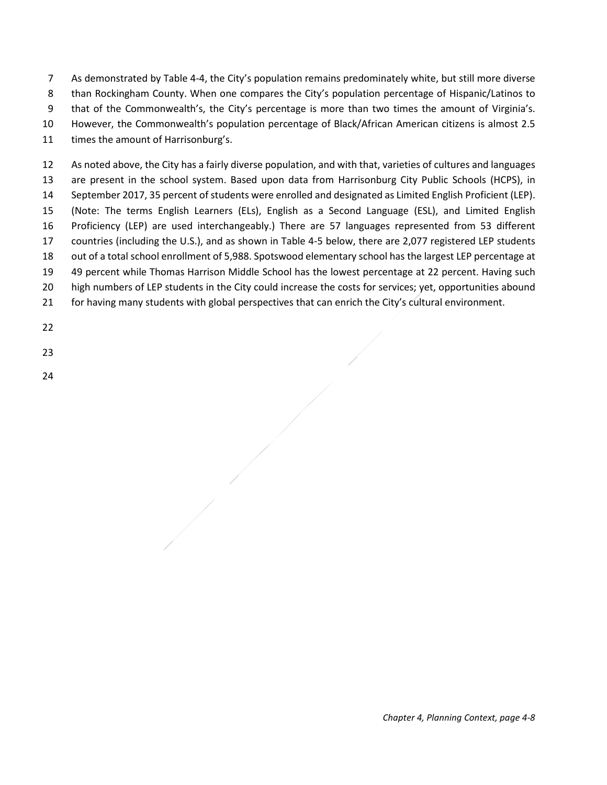As demonstrated by [Table 4-4,](#page-6-0) the City's population remains predominately white, but still more diverse than Rockingham County. When one compares the City's population percentage of Hispanic/Latinos to that of the Commonwealth's, the City's percentage is more than two times the amount of Virginia's.

However, the Commonwealth's population percentage of Black/African American citizens is almost 2.5

times the amount of Harrisonburg's.

 As noted above, the City has a fairly diverse population, and with that, varieties of cultures and languages are present in the school system. Based upon data from Harrisonburg City Public Schools (HCPS), in September 2017, 35 percent of students were enrolled and designated as Limited English Proficient (LEP). (Note: The terms English Learners (ELs), English as a Second Language (ESL), and Limited English Proficiency (LEP) are used interchangeably.) There are 57 languages represented from 53 different countries (including the U.S.), and as shown in [Table 4-5](#page-7-0) below, there are 2,077 registered LEP students out of a total school enrollment of 5,988. Spotswood elementary school has the largest LEP percentage at 49 percent while Thomas Harrison Middle School has the lowest percentage at 22 percent. Having such high numbers of LEP students in the City could increase the costs for services; yet, opportunities abound for having many students with global perspectives that can enrich the City's cultural environment.

<span id="page-7-0"></span>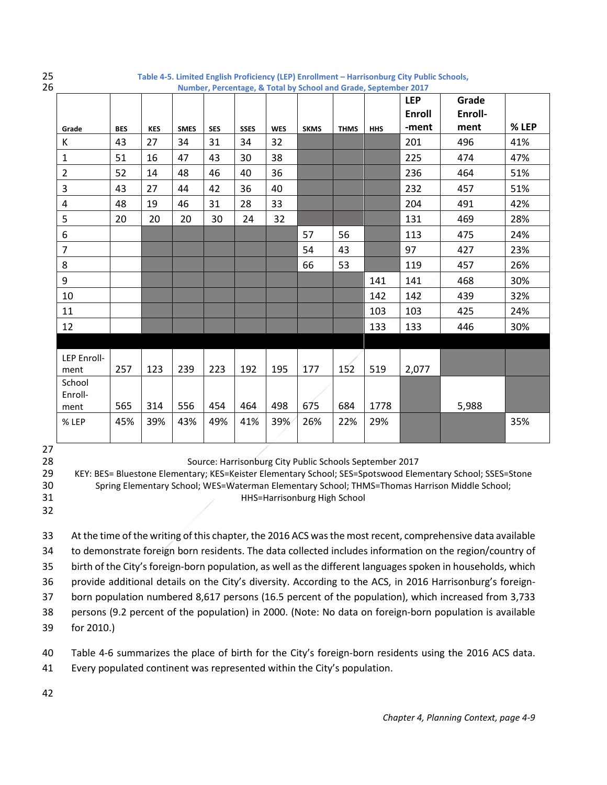| 25<br>Table 4-5. Limited English Proficiency (LEP) Enrollment - Harrisonburg City Public Schools,<br>26<br>Number, Percentage, & Total by School and Grade, September 2017 |            |            |             |            |             |            |             |             |            |                             |                  |       |
|----------------------------------------------------------------------------------------------------------------------------------------------------------------------------|------------|------------|-------------|------------|-------------|------------|-------------|-------------|------------|-----------------------------|------------------|-------|
|                                                                                                                                                                            |            |            |             |            |             |            |             |             |            | <b>LEP</b><br><b>Enroll</b> | Grade<br>Enroll- |       |
| Grade                                                                                                                                                                      | <b>BES</b> | <b>KES</b> | <b>SMES</b> | <b>SES</b> | <b>SSES</b> | <b>WES</b> | <b>SKMS</b> | <b>THMS</b> | <b>HHS</b> | -ment                       | ment             | % LEP |
| К                                                                                                                                                                          | 43         | 27         | 34          | 31         | 34          | 32         |             |             |            | 201                         | 496              | 41%   |
| $\mathbf{1}$                                                                                                                                                               | 51         | 16         | 47          | 43         | 30          | 38         |             |             |            | 225                         | 474              | 47%   |
| $\overline{2}$                                                                                                                                                             | 52         | 14         | 48          | 46         | 40          | 36         |             |             |            | 236                         | 464              | 51%   |
| 3                                                                                                                                                                          | 43         | 27         | 44          | 42         | 36          | 40         |             |             |            | 232                         | 457              | 51%   |
| 4                                                                                                                                                                          | 48         | 19         | 46          | 31         | 28          | 33         |             |             |            | 204                         | 491              | 42%   |
| 5                                                                                                                                                                          | 20         | 20         | 20          | 30         | 24          | 32         |             |             |            | 131                         | 469              | 28%   |
| 6                                                                                                                                                                          |            |            |             |            |             |            | 57          | 56          |            | 113                         | 475              | 24%   |
| $\overline{7}$                                                                                                                                                             |            |            |             |            |             |            | 54          | 43          |            | 97                          | 427              | 23%   |
| 8                                                                                                                                                                          |            |            |             |            |             |            | 66          | 53          |            | 119                         | 457              | 26%   |
| 9                                                                                                                                                                          |            |            |             |            |             |            |             |             | 141        | 141                         | 468              | 30%   |
| 10                                                                                                                                                                         |            |            |             |            |             |            |             |             | 142        | 142                         | 439              | 32%   |
| 11                                                                                                                                                                         |            |            |             |            |             |            |             |             | 103        | 103                         | 425              | 24%   |
| 12                                                                                                                                                                         |            |            |             |            |             |            |             |             | 133        | 133                         | 446              | 30%   |
|                                                                                                                                                                            |            |            |             |            |             |            |             |             |            |                             |                  |       |
| LEP Enroll-<br>ment                                                                                                                                                        | 257        | 123        | 239         | 223        | 192         | 195        | 177         | 152         | 519        | 2,077                       |                  |       |
| School<br>Enroll-<br>ment                                                                                                                                                  | 565        | 314        | 556         | 454        | 464         | 498        | 675         | 684         | 1778       |                             | 5,988            |       |
| % LEP                                                                                                                                                                      | 45%        | 39%        | 43%         | 49%        | 41%         | 39%        | 26%         | 22%         | 29%        |                             |                  | 35%   |

Source: Harrisonburg City Public Schools September 2017

KEY: BES= Bluestone Elementary; KES=Keister Elementary School; SES=Spotswood Elementary School; SSES=Stone

 Spring Elementary School; WES=Waterman Elementary School; THMS=Thomas Harrison Middle School; HHS=Harrisonburg High School

 At the time of the writing of this chapter, the 2016 ACS wasthe most recent, comprehensive data available to demonstrate foreign born residents. The data collected includes information on the region/country of birth of the City's foreign-born population, as well as the different languages spoken in households, which provide additional details on the City's diversity. According to the ACS, in 2016 Harrisonburg's foreign- born population numbered 8,617 persons (16.5 percent of the population), which increased from 3,733 persons (9.2 percent of the population) in 2000. (Note: No data on foreign-born population is available for 2010.)

[Table 4-6](#page-9-1) summarizes the place of birth for the City's foreign-born residents using the 2016 ACS data.

Every populated continent was represented within the City's population.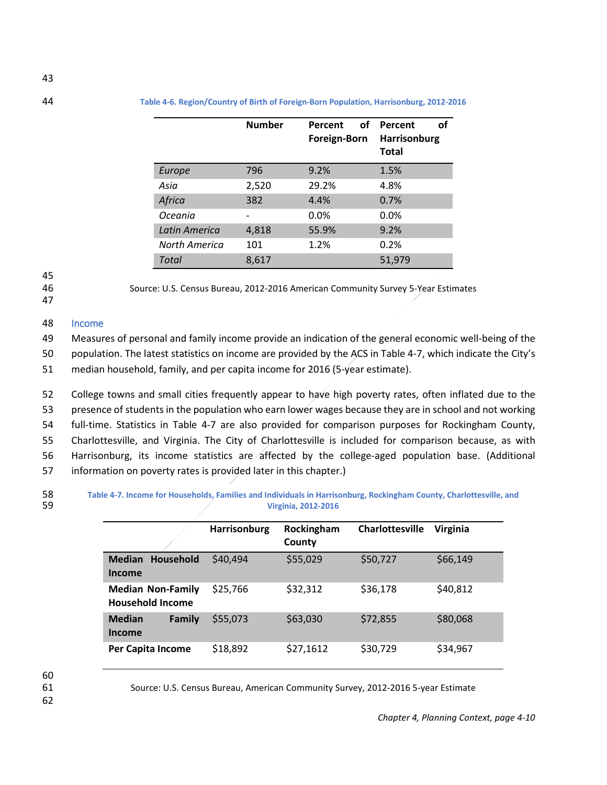<span id="page-9-1"></span>

|               | <b>Number</b> | οf<br>Percent<br>Foreign-Born | οf<br>Percent<br><b>Harrisonburg</b><br><b>Total</b> |
|---------------|---------------|-------------------------------|------------------------------------------------------|
| Europe        | 796           | 9.2%                          | 1.5%                                                 |
| Asia          | 2,520         | 29.2%                         | 4.8%                                                 |
| Africa        | 382           | 4.4%                          | 0.7%                                                 |
| Oceania       |               | 0.0%                          | 0.0%                                                 |
| Latin America | 4,818         | 55.9%                         | 9.2%                                                 |
| North America | 101           | 1.2%                          | 0.2%                                                 |
| Total         | 8,617         |                               | 51,979                                               |

# 45

46 Source: U.S. Census Bureau, 2012-2016 American Community Survey 5-Year Estimates

47

## <span id="page-9-0"></span>48 Income

49 Measures of personal and family income provide an indication of the general economic well-being of the

50 population. The latest statistics on income are provided by the ACS i[n Table 4-7,](#page-9-2) which indicate the City's 51 median household, family, and per capita income for 2016 (5-year estimate).

 College towns and small cities frequently appear to have high poverty rates, often inflated due to the presence of students in the population who earn lower wages because they are in school and not working full-time. Statistics in [Table 4-7](#page-9-2) are also provided for comparison purposes for Rockingham County, Charlottesville, and Virginia. The City of Charlottesville is included for comparison because, as with Harrisonburg, its income statistics are affected by the college-aged population base. (Additional information on poverty rates is provided later in this chapter.)

<span id="page-9-2"></span>

58 **Table 4-7. Income for Households, Families and Individuals in Harrisonburg, Rockingham County, Charlottesville, and**  59 **Virginia, 2012-2016**

|                                                     | Harrisonburg | Rockingham<br>County | Charlottesville | <b>Virginia</b> |
|-----------------------------------------------------|--------------|----------------------|-----------------|-----------------|
| <b>Median Household</b><br>Income                   | \$40,494     | \$55,029             | \$50,727        | \$66,149        |
| <b>Median Non-Family</b><br><b>Household Income</b> | \$25,766     | \$32,312             | \$36,178        | \$40,812        |
| <b>Median</b><br>Family<br>Income                   | \$55,073     | \$63,030             | \$72,855        | \$80,068        |
| Per Capita Income                                   | \$18,892     | \$27,1612            | \$30,729        | \$34,967        |

60

62

61 Source: U.S. Census Bureau, American Community Survey, 2012-2016 5-year Estimate

*Chapter 4, Planning Context, page 4-10*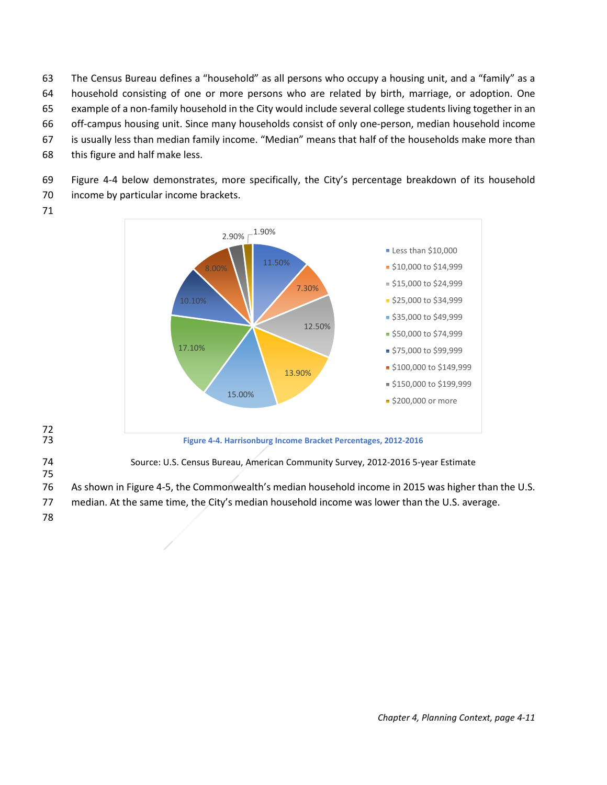The Census Bureau defines a "household" as all persons who occupy a housing unit, and a "family" as a household consisting of one or more persons who are related by birth, marriage, or adoption. One example of a non-family household in the City would include several college students living together in an off-campus housing unit. Since many households consist of only one-person, median household income

- 67 is usually less than median family income. "Median" means that half of the households make more than
- 68 this figure and half make less.

69 [Figure 4-4](#page-10-0) below demonstrates, more specifically, the City's percentage breakdown of its household 70 income by particular income brackets.

71



<span id="page-10-0"></span>72

74 Source: U.S. Census Bureau, American Community Survey, 2012-2016 5-year Estimate

- 76 As shown i[n Figure 4-5,](#page-11-1) the Commonwealth's median household income in 2015 was higher than the U.S.
- 77 median. At the same time, the City's median household income was lower than the U.S. average.
- 78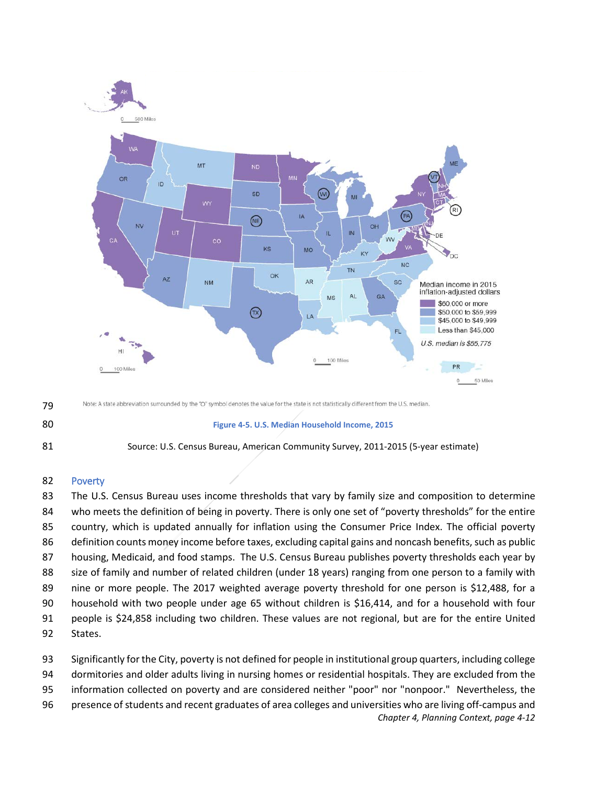

- Note: A state abbreviation surrounded by the "O" symbol denotes the value for the state is not statistically different from the U.S. median.
- <span id="page-11-1"></span>



#### **Figure 4-5. U.S. Median Household Income, 2015**



## <span id="page-11-0"></span>Poverty

83 The U.S. Census Bureau uses income thresholds that vary by family size and composition to determine who meets the definition of being in poverty. There is only one set of "poverty thresholds" for the entire country, which is updated annually for inflation using the Consumer Price Index. The official poverty definition counts money income before taxes, excluding capital gains and noncash benefits, such as public housing, Medicaid, and food stamps. The U.S. Census Bureau publishes poverty thresholds each year by size of family and number of related children (under 18 years) ranging from one person to a family with nine or more people. The 2017 weighted average poverty threshold for one person is \$12,488, for a household with two people under age 65 without children is \$16,414, and for a household with four people is \$24,858 including two children. These values are not regional, but are for the entire United States.

*Chapter 4, Planning Context, page 4-12* Significantly for the City, poverty is not defined for people in institutional group quarters, including college dormitories and older adults living in nursing homes or residential hospitals. They are excluded from the information collected on poverty and are considered neither "poor" nor "nonpoor." Nevertheless, the presence of students and recent graduates of area colleges and universities who are living off-campus and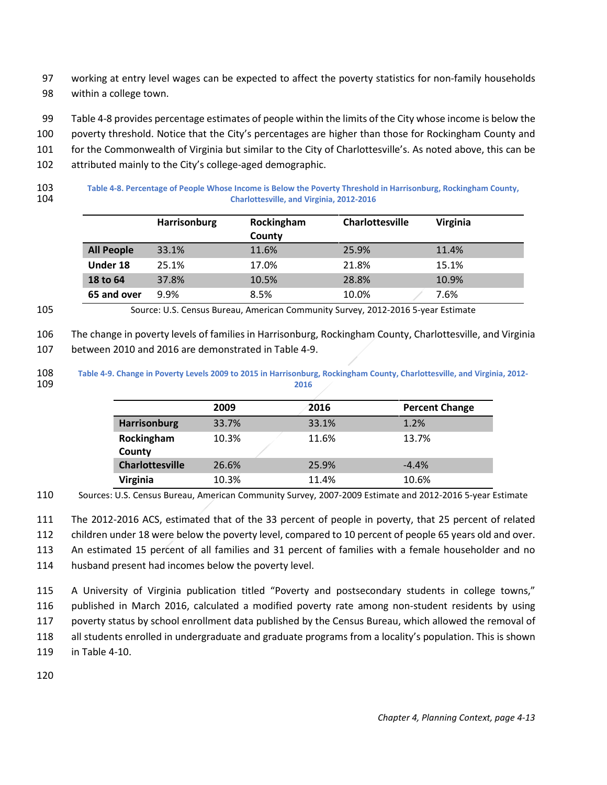- working at entry level wages can be expected to affect the poverty statistics for non-family households within a college town.
- [Table 4-8](#page-12-0) provides percentage estimates of people within the limits of the City whose income is below the
- poverty threshold. Notice that the City's percentages are higher than those for Rockingham County and
- for the Commonwealth of Virginia but similar to the City of Charlottesville's. As noted above, this can be
- attributed mainly to the City's college-aged demographic.
- 

 **Table 4-8. Percentage of People Whose Income is Below the Poverty Threshold in Harrisonburg, Rockingham County, Charlottesville, and Virginia, 2012-2016**

<span id="page-12-0"></span>

|                   | <b>Harrisonburg</b> | Rockingham<br>County | <b>Charlottesville</b> | Virginia |
|-------------------|---------------------|----------------------|------------------------|----------|
| <b>All People</b> | 33.1%               | 11.6%                | 25.9%                  | 11.4%    |
| Under 18          | 25.1%               | 17.0%                | 21.8%                  | 15.1%    |
| 18 to 64          | 37.8%               | 10.5%                | 28.8%                  | 10.9%    |
| 65 and over       | 9.9%                | 8.5%                 | 10.0%                  | 7.6%     |

Source: U.S. Census Bureau, American Community Survey, 2012-2016 5-year Estimate

The change in poverty levels of families in Harrisonburg, Rockingham County, Charlottesville, and Virginia

between 2010 and 2016 are demonstrated in [Table 4-9.](#page-12-1)

 **Table 4-9. Change in Poverty Levels 2009 to 2015 in Harrisonburg, Rockingham County, Charlottesville, and Virginia, 2012- 2016**

|                        | 2009  | 2016  | <b>Percent Change</b> |
|------------------------|-------|-------|-----------------------|
| Harrisonburg           | 33.7% | 33.1% | 1.2%                  |
| Rockingham             | 10.3% | 11.6% | 13.7%                 |
| County                 |       |       |                       |
| <b>Charlottesville</b> | 26.6% | 25.9% | $-4.4%$               |
| Virginia               | 10.3% | 11.4% | 10.6%                 |

Sources: U.S. Census Bureau, American Community Survey, 2007-2009 Estimate and 2012-2016 5-year Estimate

The 2012-2016 ACS, estimated that of the 33 percent of people in poverty, that 25 percent of related

children under 18 were below the poverty level, compared to 10 percent of people 65 years old and over.

An estimated 15 percent of all families and 31 percent of families with a female householder and no

husband present had incomes below the poverty level.

 A University of Virginia publication titled "Poverty and postsecondary students in college towns," published in March 2016, calculated a modified poverty rate among non-student residents by using poverty status by school enrollment data published by the Census Bureau, which allowed the removal of all students enrolled in undergraduate and graduate programs from a locality's population. This is shown in [Table 4-10.](#page-13-0)

<span id="page-12-1"></span>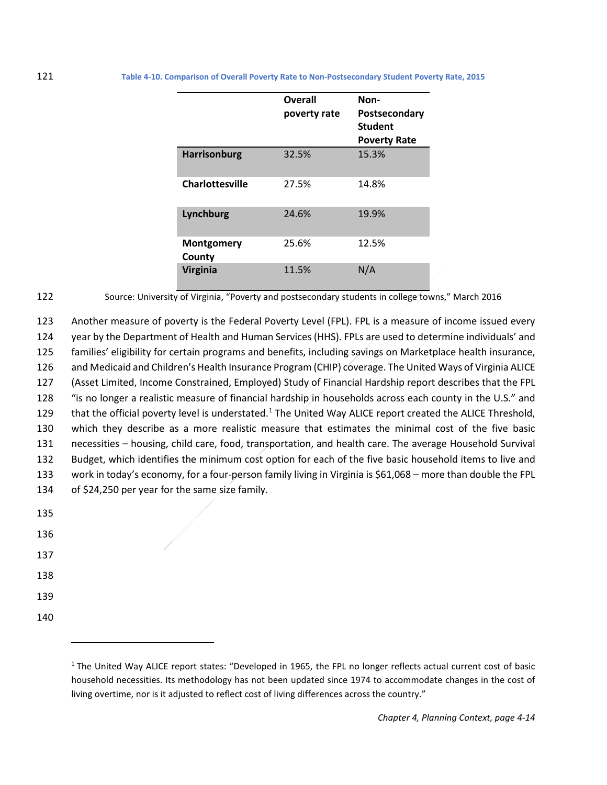<span id="page-13-0"></span>

|                        | Overall<br>poverty rate | Non-<br>Postsecondary<br><b>Student</b><br><b>Poverty Rate</b> |
|------------------------|-------------------------|----------------------------------------------------------------|
| <b>Harrisonburg</b>    | 32.5%                   | 15.3%                                                          |
| <b>Charlottesville</b> | 27.5%                   | 14.8%                                                          |
| Lynchburg              | 24.6%                   | 19.9%                                                          |
| Montgomery<br>County   | 25.6%                   | 12.5%                                                          |
| <b>Virginia</b>        | 11.5%                   | N/A                                                            |

122 Source: University of Virginia, "Poverty and postsecondary students in college towns," March 2016

 Another measure of poverty is the Federal Poverty Level (FPL). FPL is a measure of income issued every year by the Department of Health and Human Services (HHS). FPLs are used to determine individuals' and families' eligibility for certain programs and benefits, including savings on Marketplace health insurance, and Medicaid and Children's Health Insurance Program (CHIP) coverage. The United Ways of Virginia ALICE (Asset Limited, Income Constrained, Employed) Study of Financial Hardship report describes that the FPL "is no longer a realistic measure of financial hardship in households across each county in the U.S." and 29 that the official poverty level is understated.<sup>1</sup> The United Way ALICE report created the ALICE Threshold, which they describe as a more realistic measure that estimates the minimal cost of the five basic necessities – housing, child care, food, transportation, and health care. The average Household Survival Budget, which identifies the minimum cost option for each of the five basic household items to live and work in today's economy, for a four-person family living in Virginia is \$61,068 – more than double the FPL of \$24,250 per year for the same size family.

| 135 |  |  |  |
|-----|--|--|--|
| 136 |  |  |  |
| 137 |  |  |  |
| 138 |  |  |  |
| 139 |  |  |  |
| 140 |  |  |  |

l

<span id="page-13-1"></span> $1$  The United Way ALICE report states: "Developed in 1965, the FPL no longer reflects actual current cost of basic household necessities. Its methodology has not been updated since 1974 to accommodate changes in the cost of living overtime, nor is it adjusted to reflect cost of living differences across the country."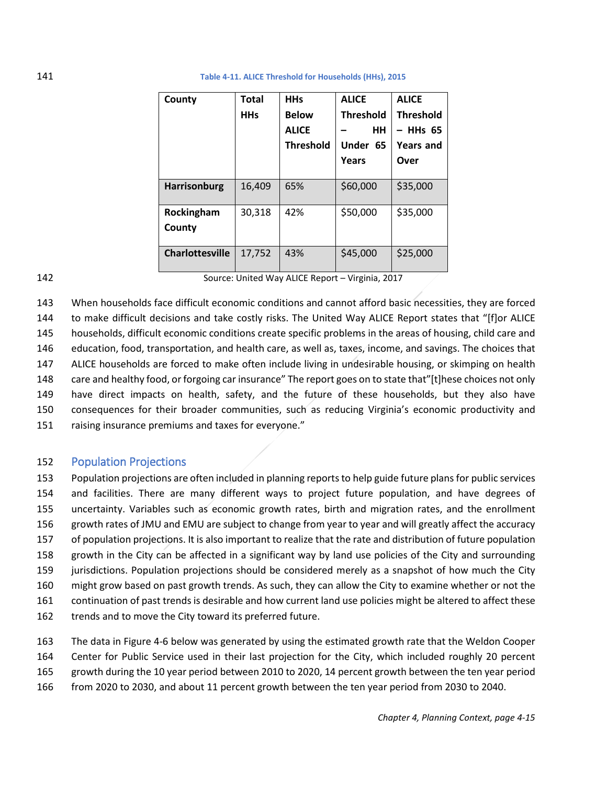| County                 | Total<br><b>HHs</b> | <b>HHs</b><br><b>Below</b><br><b>ALICE</b><br><b>Threshold</b> | <b>ALICE</b><br><b>Threshold</b><br><b>HH</b><br>Under 65<br>Years | <b>ALICE</b><br><b>Threshold</b><br>– HHs 65<br><b>Years and</b><br>Over |
|------------------------|---------------------|----------------------------------------------------------------|--------------------------------------------------------------------|--------------------------------------------------------------------------|
|                        |                     |                                                                |                                                                    |                                                                          |
| <b>Harrisonburg</b>    | 16,409              | 65%                                                            | \$60,000                                                           | \$35,000                                                                 |
| Rockingham<br>County   | 30,318              | 42%                                                            | \$50,000                                                           | \$35,000                                                                 |
| <b>Charlottesville</b> | 17,752              | 43%                                                            | \$45,000                                                           | \$25,000                                                                 |

## 141 **Table 4-11. ALICE Threshold for Households (HHs), 2015**

142 Source: United Way ALICE Report – Virginia, 2017

 When households face difficult economic conditions and cannot afford basic necessities, they are forced to make difficult decisions and take costly risks. The United Way ALICE Report states that "[f]or ALICE households, difficult economic conditions create specific problems in the areas of housing, child care and education, food, transportation, and health care, as well as, taxes, income, and savings. The choices that ALICE households are forced to make often include living in undesirable housing, or skimping on health care and healthy food, or forgoing car insurance" The report goes on to state that"[t]hese choices not only have direct impacts on health, safety, and the future of these households, but they also have consequences for their broader communities, such as reducing Virginia's economic productivity and raising insurance premiums and taxes for everyone."

## <span id="page-14-0"></span>152 Population Projections

 Population projections are often included in planning reports to help guide future plans for public services and facilities. There are many different ways to project future population, and have degrees of uncertainty. Variables such as economic growth rates, birth and migration rates, and the enrollment growth rates of JMU and EMU are subject to change from year to year and will greatly affect the accuracy of population projections. It is also important to realize that the rate and distribution of future population growth in the City can be affected in a significant way by land use policies of the City and surrounding jurisdictions. Population projections should be considered merely as a snapshot of how much the City might grow based on past growth trends. As such, they can allow the City to examine whether or not the continuation of past trends is desirable and how current land use policies might be altered to affect these trends and to move the City toward its preferred future.

 The data i[n Figure 4-6](#page-15-0) below was generated by using the estimated growth rate that the Weldon Cooper Center for Public Service used in their last projection for the City, which included roughly 20 percent growth during the 10 year period between 2010 to 2020, 14 percent growth between the ten year period from 2020 to 2030, and about 11 percent growth between the ten year period from 2030 to 2040.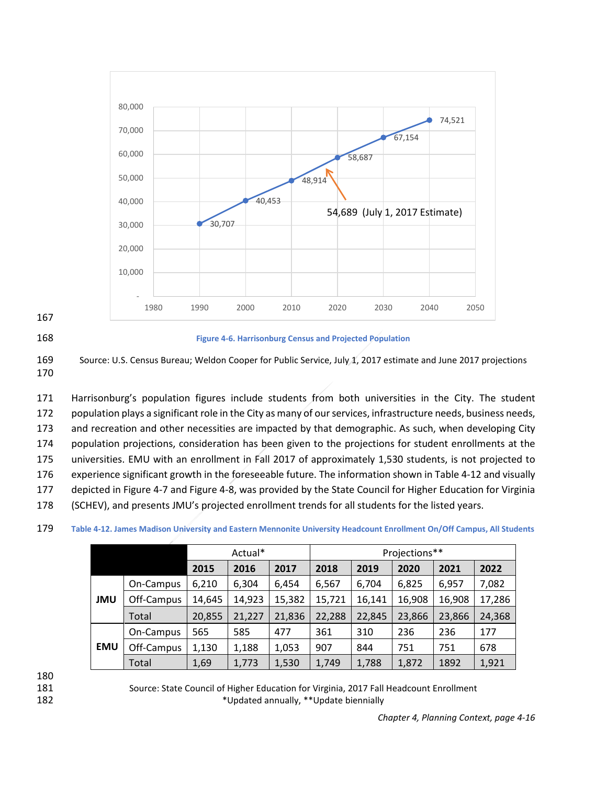

167



#### <span id="page-15-0"></span>168 **Figure 4-6. Harrisonburg Census and Projected Population**

169 Source: U.S. Census Bureau; Weldon Cooper for Public Service, July 1, 2017 estimate and June 2017 projections 170

 Harrisonburg's population figures include students from both universities in the City. The student population plays a significant role in the City as many of our services, infrastructure needs, business needs, and recreation and other necessities are impacted by that demographic. As such, when developing City population projections, consideration has been given to the projections for student enrollments at the universities. EMU with an enrollment in Fall 2017 of approximately 1,530 students, is not projected to experience significant growth in the foreseeable future. The information shown in [Table 4-12](#page-15-1) and visually depicted i[n Figure 4-7](#page-16-0) and [Figure 4-8,](#page-16-1) was provided by the State Council for Higher Education for Virginia (SCHEV), and presents JMU's projected enrollment trends for all students for the listed years.

<span id="page-15-1"></span>

|  |            |            | Actual* |        |        | Projections** |        |        |        |        |
|--|------------|------------|---------|--------|--------|---------------|--------|--------|--------|--------|
|  |            |            | 2015    | 2016   | 2017   | 2018          | 2019   | 2020   | 2021   | 2022   |
|  | <b>JMU</b> | On-Campus  | 6,210   | 6,304  | 6,454  | 6,567         | 6,704  | 6,825  | 6,957  | 7,082  |
|  |            | Off-Campus | 14,645  | 14,923 | 15,382 | 15,721        | 16,141 | 16,908 | 16,908 | 17,286 |
|  |            | Total      | 20,855  | 21,227 | 21,836 | 22,288        | 22,845 | 23,866 | 23,866 | 24,368 |
|  | <b>EMU</b> | On-Campus  | 565     | 585    | 477    | 361           | 310    | 236    | 236    | 177    |
|  |            | Off-Campus | 1,130   | 1,188  | 1,053  | 907           | 844    | 751    | 751    | 678    |
|  |            | Total      | 1,69    | 1,773  | 1,530  | 1,749         | 1,788  | 1,872  | 1892   | 1,921  |

| 179 |  |  |  |  | Table 4-12. James Madison University and Eastern Mennonite University Headcount Enrollment On/Off Campus, All Students |
|-----|--|--|--|--|------------------------------------------------------------------------------------------------------------------------|
|-----|--|--|--|--|------------------------------------------------------------------------------------------------------------------------|

180

181 Source: State Council of Higher Education for Virginia, 2017 Fall Headcount Enrollment 182 **\*Updated annually, \*\*Update biennially**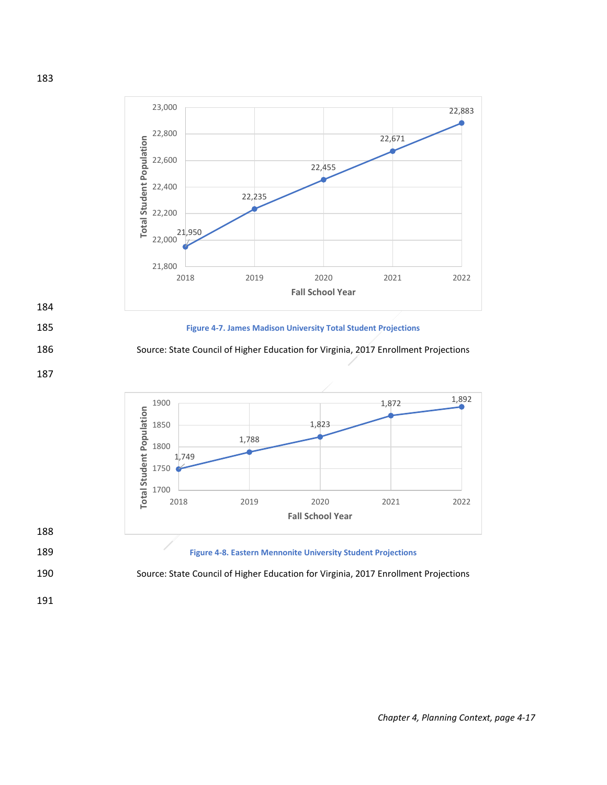



## <span id="page-16-1"></span>189 **Figure 4-8. Eastern Mennonite University Student Projections**



191

188

183

<span id="page-16-0"></span>184

187

*Chapter 4, Planning Context, page 4-17*